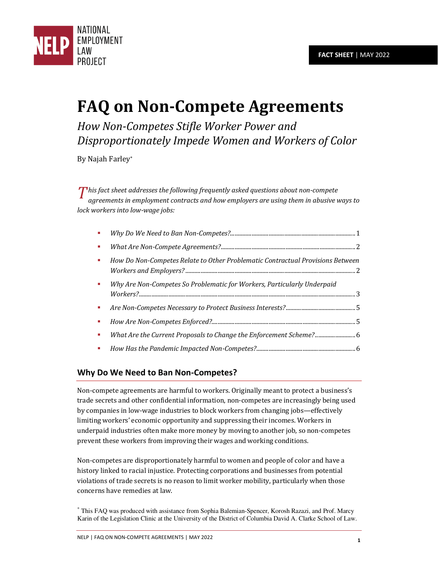

# **FAQ on Non-Compete Agreements**

*How Non-Competes Stifle Worker Power and Disproportionately Impede Women and Workers of Color* 

By Najah Farley\*

*his fact sheet addresses the following frequently asked questions about non-compete*<br> *T agreements in employment contracts and how employers are using them in abusive y agreements in employment contracts and how employers are using them in abusive ways to lock workers into low-wage jobs:* 

| How Do Non-Competes Relate to Other Problematic Contractual Provisions Between |  |
|--------------------------------------------------------------------------------|--|
| Why Are Non-Competes So Problematic for Workers, Particularly Underpaid        |  |
|                                                                                |  |
|                                                                                |  |
|                                                                                |  |
|                                                                                |  |

## <span id="page-0-0"></span>**Why Do We Need to Ban Non-Competes?**

Non-compete agreements are harmful to workers. Originally meant to protect a business's trade secrets and other confidential information, non-competes are increasingly being used by companies in low-wage industries to block workers from changing jobs—effectively limiting workers' economic opportunity and suppressing their incomes. Workers in underpaid industries often make more money by moving to another job, so non-competes prevent these workers from improving their wages and working conditions.

Non-competes are disproportionately harmful to women and people of color and have a history linked to racial injustice. Protecting corporations and businesses from potential violations of trade secrets is no reason to limit worker mobility, particularly when those concerns have remedies at law.

\* This FAQ was produced with assistance from Sophia Balemian-Spencer, Korosh Razazi, and Prof. Marcy Karin of the Legislation Clinic at the University of the District of Columbia David A. Clarke School of Law.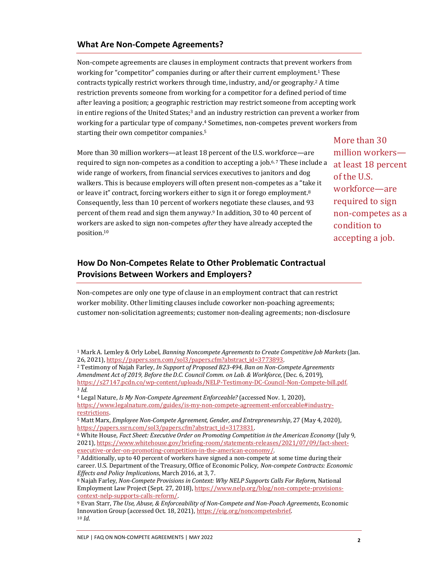#### <span id="page-1-0"></span>**What Are Non-Compete Agreements?**

Non-compete agreements are clauses in employment contracts that prevent workers from working for "competitor" companies during or after their current employment.1 These contracts typically restrict workers through time, industry, and/or geography.2 A time restriction prevents someone from working for a competitor for a defined period of time after leaving a position; a geographic restriction may restrict someone from accepting work in entire regions of the United States; $3$  and an industry restriction can prevent a worker from working for a particular type of company.4 Sometimes, non-competes prevent workers from starting their own competitor companies.<sup>5</sup>

More than 30 million workers—at least 18 percent of the U.S. workforce—are required to sign non-competes as a condition to accepting a job.6, 7 These include a wide range of workers, from financial services executives to janitors and dog walkers. This is because employers will often present non-competes as a "take it or leave it" contract, forcing workers either to sign it or forego employment.<sup>8</sup> Consequently, less than 10 percent of workers negotiate these clauses, and 93 percent of them read and sign them anyway.9 In addition, 30 to 40 percent of workers are asked to sign non-competes *after* they have already accepted the position.<sup>10</sup>

### <span id="page-1-1"></span>**How Do Non-Competes Relate to Other Problematic Contractual Provisions Between Workers and Employers?**

Non-competes are only one type of clause in an employment contract that can restrict worker mobility. Other limiting clauses include coworker non-poaching agreements; customer non-solicitation agreements; customer non-dealing agreements; non-disclosure

More than 30 million workers at least 18 percent of the U.S. workforce—are required to sign non-competes as a condition to accepting a job.

<sup>1</sup> Mark A. Lemley & Orly Lobel, *Banning Noncompete Agreements to Create Competitive Job Markets* (Jan. 26, 2021)[, https://papers.ssrn.com/sol3/papers.cfm?abstract\\_id=3773893.](https://papers.ssrn.com/sol3/papers.cfm?abstract_id=3773893)

<sup>2</sup> Testimony of Najah Farley, *In Support of Proposed B23-494, Ban on Non-Compete Agreements Amendment Act of 2019, Before the D.C. Council Comm. on Lab. & Workforce*, (Dec. 6, 2019), [https://s27147.pcdn.co/wp-content/uploads/NELP-Testimony-DC-Council-Non-Compete-bill.pdf.](https://s27147.pcdn.co/wp-content/uploads/NELP-Testimony-DC-Council-Non-Compete-bill.pdf) <sup>3</sup> *Id.*

<sup>4</sup> Legal Nature, *Is My Non-Compete Agreement Enforceable?* (accessed Nov. 1, 2020), [https://www.legalnature.com/guides/is-my-non-compete-agreement-enforceable#industry](https://www.legalnature.com/guides/is-my-non-compete-agreement-enforceable#industry-restrictions)[restrictions.](https://www.legalnature.com/guides/is-my-non-compete-agreement-enforceable#industry-restrictions) 

<sup>5</sup> Matt Marx, *Employee Non-Compete Agreement, Gender, and Entrepreneurship*, 27 (May 4, 2020), [https://papers.ssrn.com/sol3/papers.cfm?abstract\\_id=3173831.](https://papers.ssrn.com/sol3/papers.cfm?abstract_id=3173831)

<sup>6</sup> White House, *Fact Sheet: Executive Order on Promoting Competition in the American Economy* (July 9, 2021)[, https://www.whitehouse.gov/briefing-room/statements-releases/2021/07/09/fact-sheet](https://www.whitehouse.gov/briefing-room/statements-releases/2021/07/09/fact-sheet-executive-order-on-promoting-competition-in-the-american-economy/)[executive-order-on-promoting-competition-in-the-american-economy/.](https://www.whitehouse.gov/briefing-room/statements-releases/2021/07/09/fact-sheet-executive-order-on-promoting-competition-in-the-american-economy/) 

<sup>7</sup> Additionally, up to 40 percent of workers have signed a non-compete at some time during their career. U.S. Department of the Treasury, Office of Economic Policy, *Non-compete Contracts: Economic Effects and Policy Implications*, March 2016, at 3, 7.

<sup>8</sup> Najah Farley, *Non-Compete Provisions in Context: Why NELP Supports Calls For Reform*, National Employment Law Project (Sept. 27, 2018)[, https://www.nelp.org/blog/non-compete-provisions](https://www.nelp.org/blog/non-compete-provisions-context-nelp-supports-calls-reform/)[context-nelp-supports-calls-reform/.](https://www.nelp.org/blog/non-compete-provisions-context-nelp-supports-calls-reform/)

<sup>9</sup> Evan Starr, *The Use, Abuse, & Enforceability of Non-Compete and Non-Poach Agreements*, Economic Innovation Group (accessed Oct. 18, 2021), https://eig.org/noncompetesbrief. <sup>10</sup> *Id*.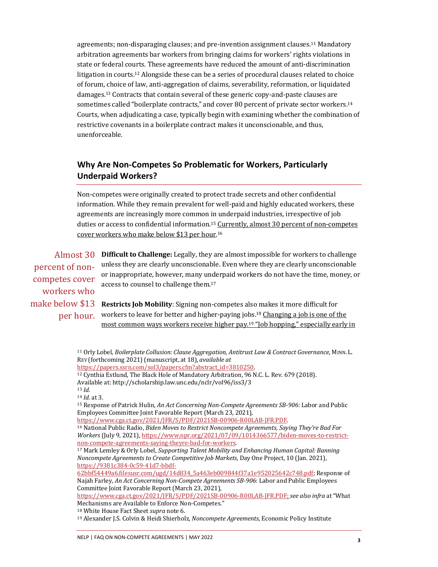agreements; non-disparaging clauses; and pre-invention assignment clauses.11 Mandatory arbitration agreements bar workers from bringing claims for workers' rights violations in state or federal courts. These agreements have reduced the amount of anti-discrimination litigation in courts.12 Alongside these can be a series of procedural clauses related to choice of forum, choice of law, anti-aggregation of claims, severability, reformation, or liquidated damages.13 Contracts that contain several of these generic copy-and-paste clauses are sometimes called "boilerplate contracts," and cover 80 percent of private sector workers.<sup>14</sup> Courts, when adjudicating a case, typically begin with examining whether the combination of restrictive covenants in a boilerplate contract makes it unconscionable, and thus, unenforceable.

## <span id="page-2-0"></span>**Why Are Non-Competes So Problematic for Workers, Particularly Underpaid Workers?**

Non-competes were originally created to protect trade secrets and other confidential information. While they remain prevalent for well-paid and highly educated workers, these agreements are increasingly more common in underpaid industries, irrespective of job duties or access to confidential information.<sup>15</sup> Currently, almost 30 percent of non-competes cover workers who make below \$13 per hour.<sup>16</sup>

Almost 30 Difficult to Challenge: Legally, they are almost impossible for workers to challenge unless they are clearly unconscionable. Even where they are clearly unconscionable or inappropriate, however, many underpaid workers do not have the time, money, or access to counsel to challenge them.<sup>17</sup> **Restricts Job Mobility**: Signing non-competes also makes it more difficult for workers to leave for better and higher-paying jobs.<sup>18</sup> Changing a job is one of the percent of noncompetes cover workers who make below \$13 per hour.

most common ways workers receive higher pay.<sup>19</sup> "Job hopping," especially early in

<sup>11</sup> Orly Lobel, *Boilerplate Collusion: Clause Aggregation, Antitrust Law & Contract Governance*, MINN. L. REV (forthcoming 2021) (manuscript, at 18), *available at* [https://papers.ssrn.com/sol3/papers.cfm?abstract\\_id=3810250.](https://papers.ssrn.com/sol3/papers.cfm?abstract_id=3810250) <sup>12</sup> Cynthia Estlund, The Black Hole of Mandatory Arbitration, 96 N.C. L. Rev. 679 (2018). Available at: http://scholarship.law.unc.edu/nclr/vol96/iss3/3 <sup>13</sup> *Id.*  <sup>14</sup> *Id.* at 3. <sup>15</sup> Response of Patrick Hulin, *An Act Concerning Non-Compete Agreements SB-906*: Labor and Public Employees Committee Joint Favorable Report (March 23, 2021), [https://www.cga.ct.gov/2021/JFR/S/PDF/2021SB-00906-R00LAB-JFR.PDF.](https://www.cga.ct.gov/2021/JFR/S/PDF/2021SB-00906-R00LAB-JFR.PDF)  <sup>16</sup> National Public Radio, *Biden Moves to Restrict Noncompete Agreements, Saying They're Bad For Workers* (July 9, 2021)[, https://www.npr.org/2021/07/09/1014366577/biden-moves-to-restrict](https://www.npr.org/2021/07/09/1014366577/biden-moves-to-restrict-non-compete-agreements-saying-theyre-bad-for-workers)[non-compete-agreements-saying-theyre-bad-for-workers.](https://www.npr.org/2021/07/09/1014366577/biden-moves-to-restrict-non-compete-agreements-saying-theyre-bad-for-workers)  <sup>17</sup> Mark Lemley & Orly Lobel, *Supporting Talent Mobility and Enhancing Human Capital: Banning Noncompete Agreements to Create Competitive Job Markets*, Day One Project, 10 (Jan. 2021), [https://9381c384-0c59-41d7-bbdf-](https://9381c384-0c59-41d7-bbdf-62bbf54449a6.filesusr.com/ugd/14d834_5a463eb009844f37a1e952025642c748.pdf)[62bbf54449a6.filesusr.com/ugd/14d834\\_5a463eb009844f37a1e952025642c748.pdf;](https://9381c384-0c59-41d7-bbdf-62bbf54449a6.filesusr.com/ugd/14d834_5a463eb009844f37a1e952025642c748.pdf) Response of Najah Farley, *An Act Concerning Non-Compete Agreements SB-906*: Labor and Public Employees Committee Joint Favorable Report (March 23, 2021), [https://www.cga.ct.gov/2021/JFR/S/PDF/2021SB-00906-R00LAB-JFR.PDF;](https://www.cga.ct.gov/2021/JFR/S/PDF/2021SB-00906-R00LAB-JFR.PDF) *see also infra* at "What Mechanisms are Available to Enforce Non-Competes." <sup>18</sup> White House Fact Sheet *supra* note 6.

<sup>19</sup> Alexander J.S. Colvin & Heidi Shierholz, *Noncompete Agreements*, Economic Policy Institute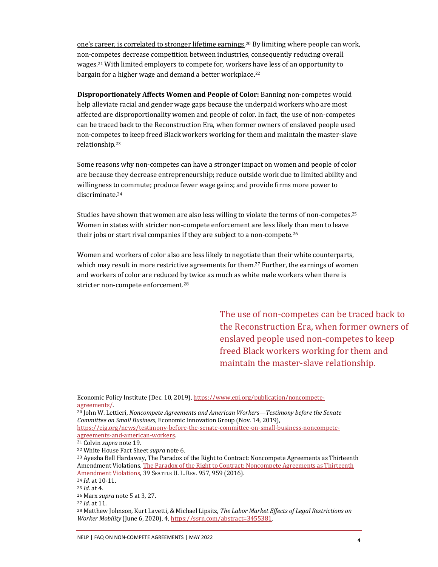one's career, is correlated to stronger lifetime earnings. <sup>20</sup> By limiting where people can work, non-competes decrease competition between industries, consequently reducing overall wages.21 With limited employers to compete for, workers have less of an opportunity to bargain for a higher wage and demand a better workplace.<sup>22</sup>

**Disproportionately Affects Women and People of Color:** Banning non-competes would help alleviate racial and gender wage gaps because the underpaid workers who are most affected are disproportionality women and people of color. In fact, the use of non-competes can be traced back to the Reconstruction Era, when former owners of enslaved people used non-competes to keep freed Black workers working for them and maintain the master-slave relationship.<sup>23</sup>

Some reasons why non-competes can have a stronger impact on women and people of color are because they decrease entrepreneurship; reduce outside work due to limited ability and willingness to commute; produce fewer wage gains; and provide firms more power to discriminate.<sup>24</sup>

Studies have shown that women are also less willing to violate the terms of non-competes.<sup>25</sup> Women in states with stricter non-compete enforcement are less likely than men to leave their jobs or start rival companies if they are subject to a non-compete.<sup>26</sup>

Women and workers of color also are less likely to negotiate than their white counterparts, which may result in more restrictive agreements for them.<sup>27</sup> Further, the earnings of women and workers of color are reduced by twice as much as white male workers when there is stricter non-compete enforcement.<sup>28</sup>

> The use of non-competes can be traced back to the Reconstruction Era, when former owners of enslaved people used non-competes to keep freed Black workers working for them and maintain the master-slave relationship.

Economic Policy Institute (Dec. 10, 2019)[, https://www.epi.org/publication/noncompete](https://www.epi.org/publication/noncompete-agreements/)[agreements/.](https://www.epi.org/publication/noncompete-agreements/) 

<sup>20</sup> John W. Lettieri, *Noncompete Agreements and American Workers—Testimony before the Senate Committee on Small Business*, Economic Innovation Group (Nov. 14, 2019), [https://eig.org/news/testimony-before-the-senate-committee-on-small-business-noncompete-](https://eig.org/news/testimony-before-the-senate-committee-on-small-business-noncompete-agreements-and-american-workers)

[agreements-and-american-workers.](https://eig.org/news/testimony-before-the-senate-committee-on-small-business-noncompete-agreements-and-american-workers) 

<sup>22</sup> White House Fact Sheet *supra* note 6.

<sup>23</sup> Ayesha Bell Hardaway, The Paradox of the Right to Contract: Noncompete Agreements as Thirteenth Amendment Violations[, The Paradox of the Right to Contract: Noncompete Agreements as Thirteenth](https://digitalcommons.law.seattleu.edu/cgi/viewcontent.cgi?article=2334&context=sulr)  [Amendment Violations,](https://digitalcommons.law.seattleu.edu/cgi/viewcontent.cgi?article=2334&context=sulr) 39 SEATTLE U. L. REV. 957, 959 (2016).

<sup>24</sup> *Id.* at 10-11.

<sup>27</sup> *Id.* at 11.

<sup>28</sup> Matthew Johnson, Kurt Lavetti, & Michael Lipsitz, *The Labor Market Effects of Legal Restrictions on Worker Mobility* (June 6, 2020), 4[, https://ssrn.com/abstract=3455381.](https://ssrn.com/abstract=3455381)

<sup>21</sup> Colvin *supra* note 19.

<sup>25</sup> *Id.* at 4.

<sup>26</sup> Marx *supra* note 5 at 3, 27.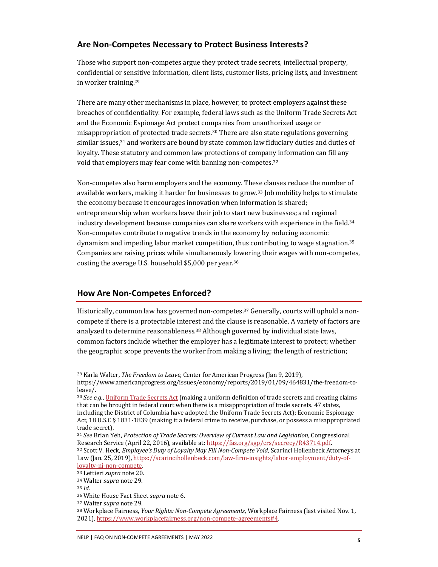#### <span id="page-4-0"></span>**Are Non-Competes Necessary to Protect Business Interests?**

Those who support non-competes argue they protect trade secrets, intellectual property, confidential or sensitive information, client lists, customer lists, pricing lists, and investment in worker training.<sup>29</sup>

There are many other mechanisms in place, however, to protect employers against these breaches of confidentiality. For example, federal laws such as the Uniform Trade Secrets Act and the Economic Espionage Act protect companies from unauthorized usage or misappropriation of protected trade secrets.30 There are also state regulations governing similar issues, $31$  and workers are bound by state common law fiduciary duties and duties of loyalty. These statutory and common law protections of company information can fill any void that employers may fear come with banning non-competes.<sup>32</sup>

Non-competes also harm employers and the economy. These clauses reduce the number of available workers, making it harder for businesses to grow. <sup>33</sup> Job mobility helps to stimulate the economy because it encourages innovation when information is shared; entrepreneurship when workers leave their job to start new businesses; and regional industry development because companies can share workers with experience in the field. $34$ Non-competes contribute to negative trends in the economy by reducing economic dynamism and impeding labor market competition, thus contributing to wage stagnation.<sup>35</sup> Companies are raising prices while simultaneously lowering their wages with non-competes, costing the average U.S. household \$5,000 per year.<sup>36</sup>

#### <span id="page-4-1"></span>**How Are Non-Competes Enforced?**

Historically, common law has governed non-competes.37 Generally, courts will uphold a noncompete if there is a protectable interest and the clause is reasonable. A variety of factors are analyzed to determine reasonableness.<sup>38</sup> Although governed by individual state laws, common factors include whether the employer has a legitimate interest to protect; whether the geographic scope prevents the worker from making a living; the length of restriction;

<sup>36</sup> White House Fact Sheet *supra* note 6.

<sup>38</sup> Workplace Fairness, *Your Rights: Non-Compete Agreements*, Workplace Fairness (last visited Nov. 1, 2021)[, https://www.workplacefairness.org/non-compete-agreements#4.](https://www.workplacefairness.org/non-compete-agreements#4) 

<sup>29</sup> Karla Walter, *The Freedom to Leave*, Center for American Progress (Jan 9, 2019), https://www.americanprogress.org/issues/economy/reports/2019/01/09/464831/the-freedom-toleave/.

<sup>30</sup> *See e.g.*[, Uniform Trade Secrets Act \(](http://euro.ecom.cmu.edu/program/law/08-732/TradeSecrets/utsa.pdf)making a uniform definition of trade secrets and creating claims that can be brought in federal court when there is a misappropriation of trade secrets. 47 states, including the District of Columbia have adopted the Uniform Trade Secrets Act); Economic Espionage Act, 18 U.S.C § 1831-1839 (making it a federal crime to receive, purchase, or possess a misappropriated trade secret).

<sup>31</sup> *See* Brian Yeh, *Protection of Trade Secrets: Overview of Current Law and Legislation*, Congressional Research Service (April 22, 2016), available at[: https://fas.org/sgp/crs/secrecy/R43714.pdf.](https://fas.org/sgp/crs/secrecy/R43714.pdf)  <sup>32</sup> Scott V. Heck, *Employee's Duty of Loyalty May Fill Non-Compete Void*, Scarinci Hollenbeck Attorneys at Law (Jan. 25, 2019)[, https://scarincihollenbeck.com/law-firm-insights/labor-employment/duty-of](https://scarincihollenbeck.com/law-firm-insights/labor-employment/duty-of-loyalty-nj-non-compete)[loyalty-nj-non-compete.](https://scarincihollenbeck.com/law-firm-insights/labor-employment/duty-of-loyalty-nj-non-compete) 

<sup>33</sup> Lettieri *supra* note 20.

<sup>34</sup> Walter *supra* note 29.

<sup>35</sup> *Id.*

<sup>37</sup> Walter *supra* note 29.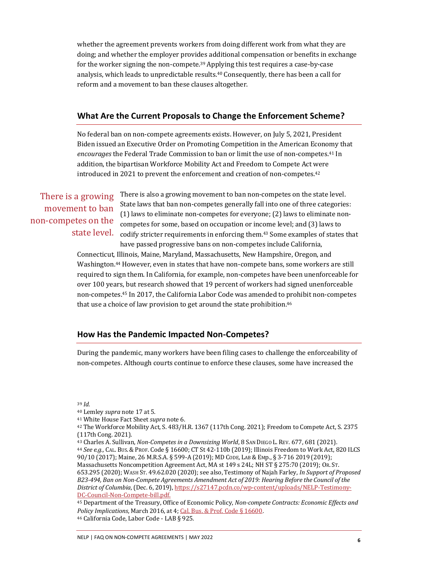whether the agreement prevents workers from doing different work from what they are doing; and whether the employer provides additional compensation or benefits in exchange for the worker signing the non-compete.39 Applying this test requires a case-by-case analysis, which leads to unpredictable results.40 Consequently, there has been a call for reform and a movement to ban these clauses altogether.

#### <span id="page-5-0"></span>**What Are the Current Proposals to Change the Enforcement Scheme?**

No federal ban on non-compete agreements exists. However, on July 5, 2021, President Biden issued an Executive Order on Promoting Competition in the American Economy that *encourages* the Federal Trade Commission to ban or limit the use of non-competes.<sup>41</sup> In addition, the bipartisan Workforce Mobility Act and Freedom to Compete Act were introduced in 2021 to prevent the enforcement and creation of non-competes.<sup>42</sup>

## There is a growing movement to ban non-competes on the state level.

There is also a growing movement to ban non-competes on the state level. State laws that ban non-competes generally fall into one of three categories: (1) laws to eliminate non-competes for everyone; (2) laws to eliminate noncompetes for some, based on occupation or income level; and (3) laws to codify stricter requirements in enforcing them.43 Some examples of states that have passed progressive bans on non-competes include California,

Connecticut, Illinois, Maine, Maryland, Massachusetts, New Hampshire, Oregon, and Washington.44 However, even in states that have non-compete bans, some workers are still required to sign them. In California, for example, non-competes have been unenforceable for over 100 years, but research showed that 19 percent of workers had signed unenforceable non-competes.45 In 2017, the California Labor Code was amended to prohibit non-competes that use a choice of law provision to get around the state prohibition.<sup>46</sup>

#### <span id="page-5-1"></span>**How Has the Pandemic Impacted Non-Competes?**

During the pandemic, many workers have been filing cases to challenge the enforceability of non-competes. Although courts continue to enforce these clauses, some have increased the

<sup>39</sup> *Id.*

- <sup>40</sup> Lemley *supra* note 17 at 5.
- <sup>41</sup> White House Fact Sheet *supra* note 6.
- <sup>42</sup> The Workforce Mobility Act, S. 483/H.R. 1367 (117th Cong. 2021); Freedom to Compete Act, S. 2375 (117th Cong. 2021).
- <sup>43</sup> Charles A. Sullivan, *Non-Competes in a Downsizing World*, 8 SAN DIEGO L. REV. 677, 681 (2021). <sup>44</sup> *See e.g.,* CAL. BUS.&PROF. Code § 16600; CT St 42-110b (2019); Illinois Freedom to Work Act, 820 ILCS 90/10 (2017); Maine, 26 M.R.S.A. § 599-A (2019); MD CODE, LAB &EMp., § 3-716 2019 (2019); Massachusetts Noncompetition Agreement Act, MA st 149 s 24L; NH ST § 275:70 (2019); OR. ST. 653.295 (2020); WASH ST. 49.62.020 (2020); see also, Testimony of Najah Farley, *In Support of Proposed B23-494, Ban on Non-Compete Agreements Amendment Act of 2019: Hearing Before the Council of the District of Columbia*, (Dec. 6, 2019)[, https://s27147.pcdn.co/wp-content/uploads/NELP-Testimony-](https://s27147.pcdn.co/wp-content/uploads/NELP-Testimony-DC-Council-Non-Compete-bill.pdf)[DC-Council-Non-Compete-bill.pdf.](https://s27147.pcdn.co/wp-content/uploads/NELP-Testimony-DC-Council-Non-Compete-bill.pdf)

<sup>45</sup> Department of the Treasury, Office of Economic Policy, *Non-compete Contracts: Economic Effects and Policy Implications*, March 2016, at 4[; Cal. Bus. & Prof. Code § 16600](http://law.justia.com/codes/california/2012/bpc/division-7/part-2/chapter-1/section-16600). <sup>46</sup> California Code, Labor Code - LAB § 925.